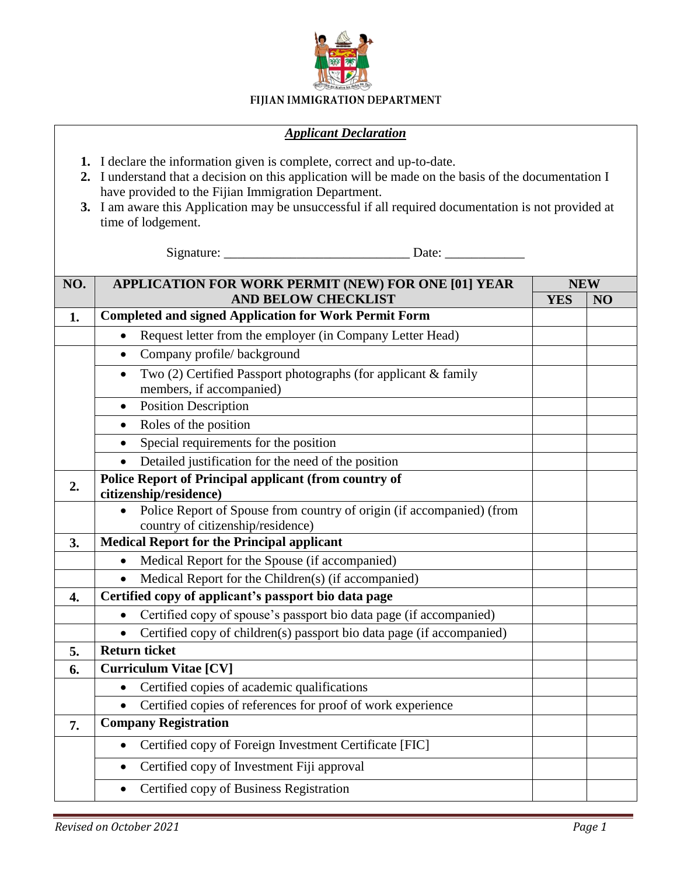

## FIJIAN IMMIGRATION DEPARTMENT

## *Applicant Declaration*

- **1.** I declare the information given is complete, correct and up-to-date.
- **2.** I understand that a decision on this application will be made on the basis of the documentation I have provided to the Fijian Immigration Department.
- **3.** I am aware this Application may be unsuccessful if all required documentation is not provided at time of lodgement.

Signature: \_\_\_\_\_\_\_\_\_\_\_\_\_\_\_\_\_\_\_\_\_\_\_\_\_\_\_\_ Date: \_\_\_\_\_\_\_\_\_\_\_\_

| NO. | APPLICATION FOR WORK PERMIT (NEW) FOR ONE [01] YEAR                                                        |            | <b>NEW</b> |  |
|-----|------------------------------------------------------------------------------------------------------------|------------|------------|--|
|     | <b>AND BELOW CHECKLIST</b>                                                                                 | <b>YES</b> | NO         |  |
| 1.  | <b>Completed and signed Application for Work Permit Form</b>                                               |            |            |  |
|     | Request letter from the employer (in Company Letter Head)                                                  |            |            |  |
|     | Company profile/background<br>$\bullet$                                                                    |            |            |  |
|     | Two (2) Certified Passport photographs (for applicant & family<br>$\bullet$<br>members, if accompanied)    |            |            |  |
|     | <b>Position Description</b><br>$\bullet$                                                                   |            |            |  |
|     | Roles of the position<br>$\bullet$                                                                         |            |            |  |
|     | Special requirements for the position                                                                      |            |            |  |
|     | Detailed justification for the need of the position                                                        |            |            |  |
| 2.  | <b>Police Report of Principal applicant (from country of</b><br>citizenship/residence)                     |            |            |  |
|     | Police Report of Spouse from country of origin (if accompanied) (from<br>country of citizenship/residence) |            |            |  |
| 3.  | <b>Medical Report for the Principal applicant</b>                                                          |            |            |  |
|     | Medical Report for the Spouse (if accompanied)                                                             |            |            |  |
|     | Medical Report for the Children(s) (if accompanied)                                                        |            |            |  |
| 4.  | Certified copy of applicant's passport bio data page                                                       |            |            |  |
|     | Certified copy of spouse's passport bio data page (if accompanied)<br>$\bullet$                            |            |            |  |
|     | Certified copy of children(s) passport bio data page (if accompanied)                                      |            |            |  |
| 5.  | <b>Return ticket</b>                                                                                       |            |            |  |
| 6.  | <b>Curriculum Vitae [CV]</b>                                                                               |            |            |  |
|     | Certified copies of academic qualifications<br>$\bullet$                                                   |            |            |  |
|     | Certified copies of references for proof of work experience                                                |            |            |  |
| 7.  | <b>Company Registration</b>                                                                                |            |            |  |
|     | Certified copy of Foreign Investment Certificate [FIC]<br>$\bullet$                                        |            |            |  |
|     | Certified copy of Investment Fiji approval<br>$\bullet$                                                    |            |            |  |
|     | Certified copy of Business Registration<br>$\bullet$                                                       |            |            |  |